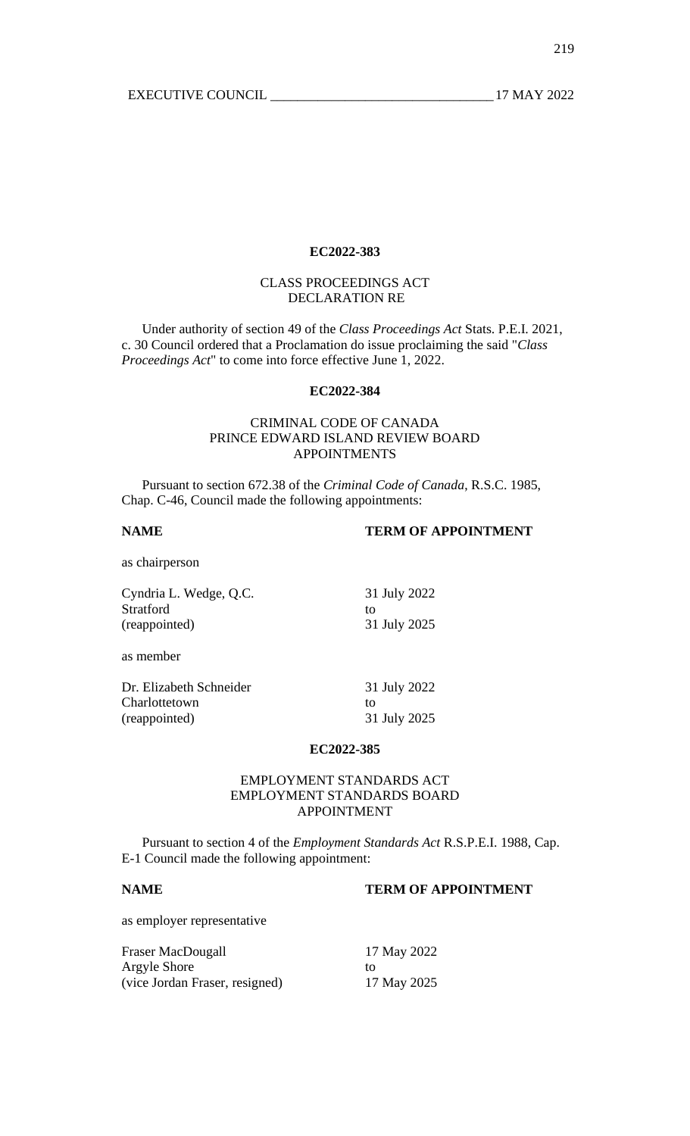# CLASS PROCEEDINGS ACT DECLARATION RE

Under authority of section 49 of the *Class Proceedings Act* Stats. P.E.I. 2021, c. 30 Council ordered that a Proclamation do issue proclaiming the said "*Class Proceedings Act*" to come into force effective June 1, 2022.

## **EC2022-384**

# CRIMINAL CODE OF CANADA PRINCE EDWARD ISLAND REVIEW BOARD APPOINTMENTS

Pursuant to section 672.38 of the *Criminal Code of Canada*, R.S.C. 1985, Chap. C-46, Council made the following appointments:

# **NAME TERM OF APPOINTMENT**

as chairperson

| Cyndria L. Wedge, Q.C.  | 31 July 2022 |
|-------------------------|--------------|
| Stratford               | to           |
| (reappointed)           | 31 July 2025 |
| as member               |              |
| Dr. Elizabeth Schneider | 31 July 2022 |
| Charlottetown           | to           |
| (reappointed)           | 31 July 2025 |

## **EC2022-385**

## EMPLOYMENT STANDARDS ACT EMPLOYMENT STANDARDS BOARD APPOINTMENT

Pursuant to section 4 of the *Employment Standards Act* R.S.P.E.I. 1988, Cap. E-1 Council made the following appointment:

## **NAME TERM OF APPOINTMENT**

as employer representative

| Fraser MacDougall              | 17 May 2022 |
|--------------------------------|-------------|
| Argyle Shore                   | TΩ          |
| (vice Jordan Fraser, resigned) | 17 May 2025 |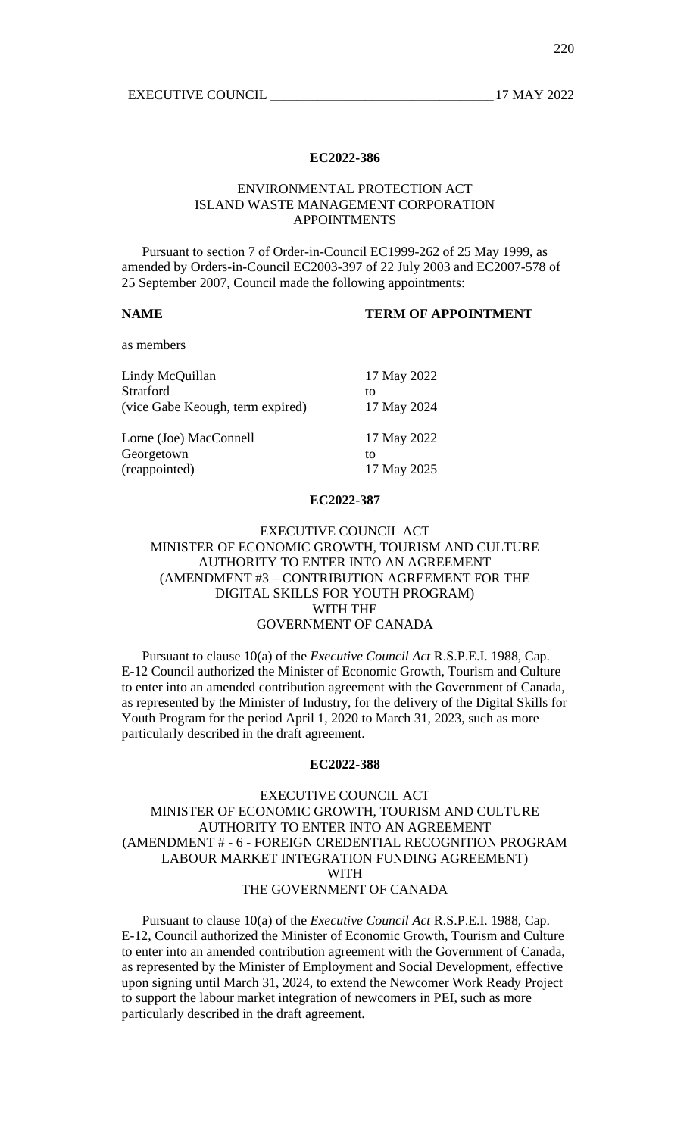## ENVIRONMENTAL PROTECTION ACT ISLAND WASTE MANAGEMENT CORPORATION APPOINTMENTS

Pursuant to section 7 of Order-in-Council EC1999-262 of 25 May 1999, as amended by Orders-in-Council EC2003-397 of 22 July 2003 and EC2007-578 of 25 September 2007, Council made the following appointments:

#### **NAME TERM OF APPOINTMENT**

as members

| Lindy McQuillan                  | 17 May 2022 |
|----------------------------------|-------------|
| Stratford                        | to          |
| (vice Gabe Keough, term expired) | 17 May 2024 |
| Lorne (Joe) MacConnell           | 17 May 2022 |
| Georgetown                       | to          |
| (reappointed)                    | 17 May 2025 |

## **EC2022-387**

## EXECUTIVE COUNCIL ACT MINISTER OF ECONOMIC GROWTH, TOURISM AND CULTURE AUTHORITY TO ENTER INTO AN AGREEMENT (AMENDMENT #3 – CONTRIBUTION AGREEMENT FOR THE DIGITAL SKILLS FOR YOUTH PROGRAM) WITH THE GOVERNMENT OF CANADA

Pursuant to clause 10(a) of the *Executive Council Act* R.S.P.E.I. 1988, Cap. E-12 Council authorized the Minister of Economic Growth, Tourism and Culture to enter into an amended contribution agreement with the Government of Canada, as represented by the Minister of Industry, for the delivery of the Digital Skills for Youth Program for the period April 1, 2020 to March 31, 2023, such as more particularly described in the draft agreement.

#### **EC2022-388**

## EXECUTIVE COUNCIL ACT MINISTER OF ECONOMIC GROWTH, TOURISM AND CULTURE AUTHORITY TO ENTER INTO AN AGREEMENT (AMENDMENT # - 6 - FOREIGN CREDENTIAL RECOGNITION PROGRAM LABOUR MARKET INTEGRATION FUNDING AGREEMENT) WITH THE GOVERNMENT OF CANADA

Pursuant to clause 10(a) of the *Executive Council Act* R.S.P.E.I. 1988, Cap. E-12, Council authorized the Minister of Economic Growth, Tourism and Culture to enter into an amended contribution agreement with the Government of Canada, as represented by the Minister of Employment and Social Development, effective upon signing until March 31, 2024, to extend the Newcomer Work Ready Project to support the labour market integration of newcomers in PEI, such as more particularly described in the draft agreement.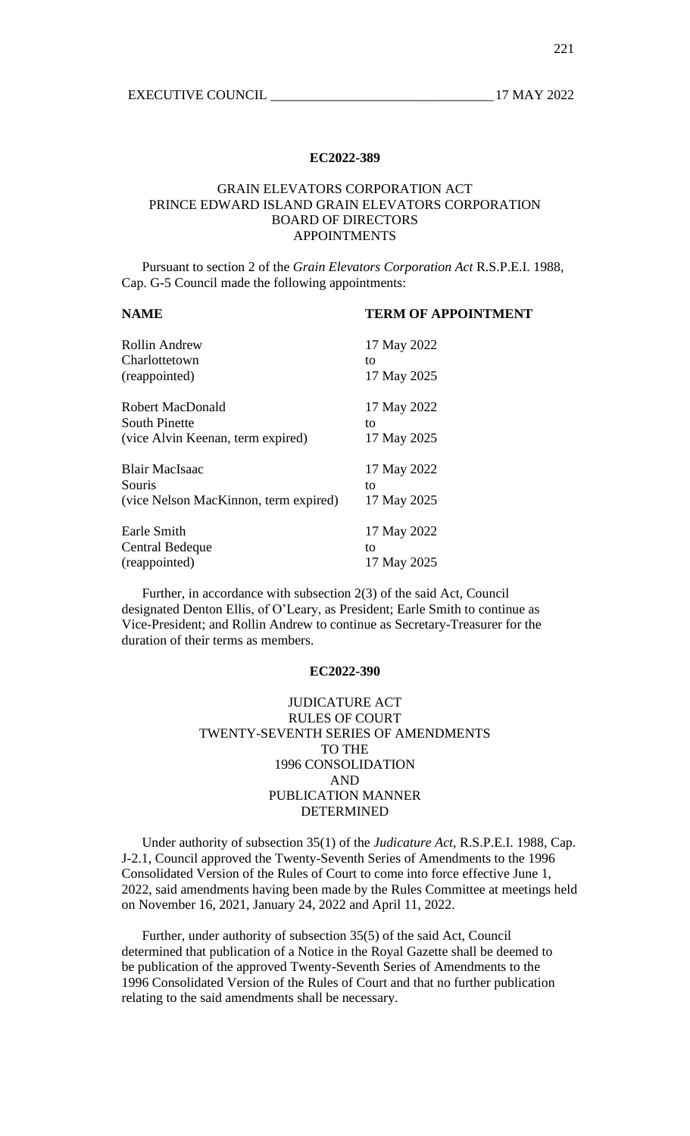## GRAIN ELEVATORS CORPORATION ACT PRINCE EDWARD ISLAND GRAIN ELEVATORS CORPORATION BOARD OF DIRECTORS APPOINTMENTS

Pursuant to section 2 of the *Grain Elevators Corporation Act* R.S.P.E.I. 1988, Cap. G-5 Council made the following appointments:

## **NAME TERM OF APPOINTMENT**

| Rollin Andrew<br>Charlottetown        | 17 May 2022<br>to |
|---------------------------------------|-------------------|
| (reappointed)                         | 17 May 2025       |
| Robert MacDonald                      | 17 May 2022       |
| <b>South Pinette</b>                  | to                |
| (vice Alvin Keenan, term expired)     | 17 May 2025       |
| Blair MacIsaac                        | 17 May 2022       |
| Souris                                | to                |
| (vice Nelson MacKinnon, term expired) | 17 May 2025       |
| Earle Smith                           | 17 May 2022       |
| Central Bedeque                       | to                |
| (reappointed)                         | 17 May 2025       |

Further, in accordance with subsection 2(3) of the said Act, Council designated Denton Ellis, of O'Leary, as President; Earle Smith to continue as Vice-President; and Rollin Andrew to continue as Secretary-Treasurer for the duration of their terms as members.

## **EC2022-390**

# JUDICATURE ACT RULES OF COURT TWENTY-SEVENTH SERIES OF AMENDMENTS TO THE 1996 CONSOLIDATION AND PUBLICATION MANNER DETERMINED

Under authority of subsection 35(1) of the *Judicature Act*, R.S.P.E.I. 1988, Cap. J-2.1, Council approved the Twenty-Seventh Series of Amendments to the 1996 Consolidated Version of the Rules of Court to come into force effective June 1, 2022, said amendments having been made by the Rules Committee at meetings held on November 16, 2021, January 24, 2022 and April 11, 2022.

Further, under authority of subsection 35(5) of the said Act, Council determined that publication of a Notice in the Royal Gazette shall be deemed to be publication of the approved Twenty-Seventh Series of Amendments to the 1996 Consolidated Version of the Rules of Court and that no further publication relating to the said amendments shall be necessary.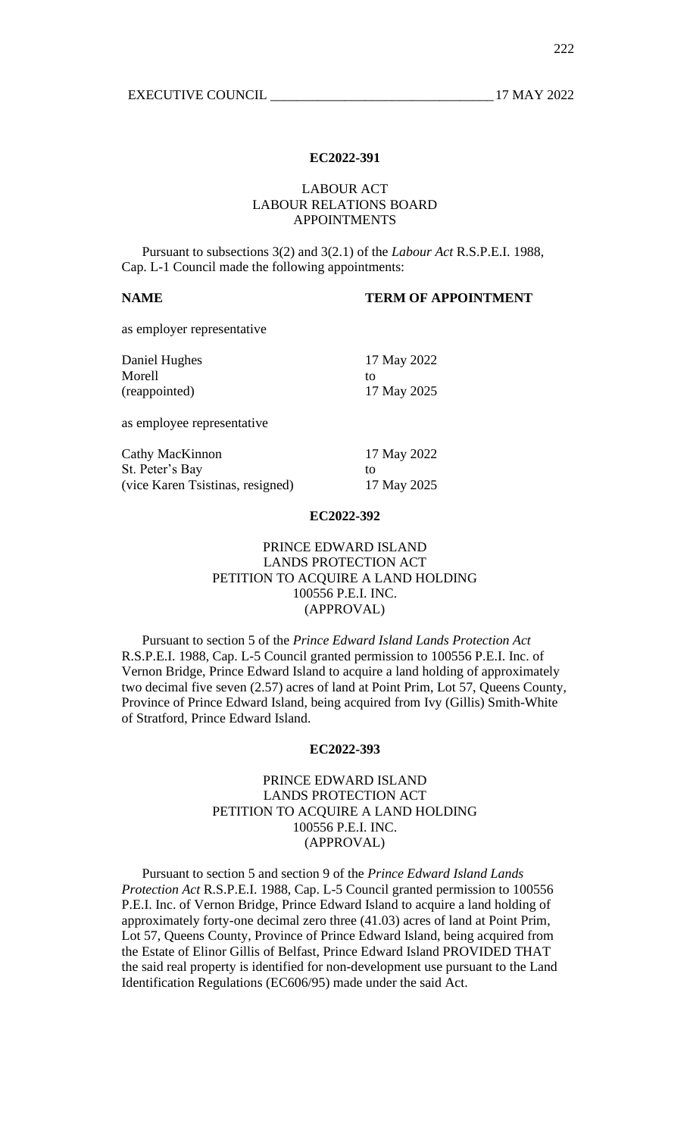## LABOUR ACT LABOUR RELATIONS BOARD APPOINTMENTS

Pursuant to subsections 3(2) and 3(2.1) of the *Labour Act* R.S.P.E.I. 1988, Cap. L-1 Council made the following appointments:

# **NAME TERM OF APPOINTMENT**

as employer representative

| Daniel Hughes<br>Morell<br>(reappointed) | 17 May 2022<br>to<br>17 May 2025 |
|------------------------------------------|----------------------------------|
| as employee representative               |                                  |
| Cathy MacKinnon                          | 17 May 2022                      |
| St. Peter's Bay                          | to                               |
| (vice Karen Tsistinas, resigned)         | 17 May 2025                      |

#### **EC2022-392**

# PRINCE EDWARD ISLAND LANDS PROTECTION ACT PETITION TO ACQUIRE A LAND HOLDING 100556 P.E.I. INC. (APPROVAL)

Pursuant to section 5 of the *Prince Edward Island Lands Protection Act* R.S.P.E.I. 1988, Cap. L-5 Council granted permission to 100556 P.E.I. Inc. of Vernon Bridge, Prince Edward Island to acquire a land holding of approximately two decimal five seven (2.57) acres of land at Point Prim, Lot 57, Queens County, Province of Prince Edward Island, being acquired from Ivy (Gillis) Smith-White of Stratford, Prince Edward Island.

#### **EC2022-393**

# PRINCE EDWARD ISLAND LANDS PROTECTION ACT PETITION TO ACQUIRE A LAND HOLDING 100556 P.E.I. INC. (APPROVAL)

Pursuant to section 5 and section 9 of the *Prince Edward Island Lands Protection Act* R.S.P.E.I. 1988, Cap. L-5 Council granted permission to 100556 P.E.I. Inc. of Vernon Bridge, Prince Edward Island to acquire a land holding of approximately forty-one decimal zero three (41.03) acres of land at Point Prim, Lot 57, Queens County, Province of Prince Edward Island, being acquired from the Estate of Elinor Gillis of Belfast, Prince Edward Island PROVIDED THAT the said real property is identified for non-development use pursuant to the Land Identification Regulations (EC606/95) made under the said Act.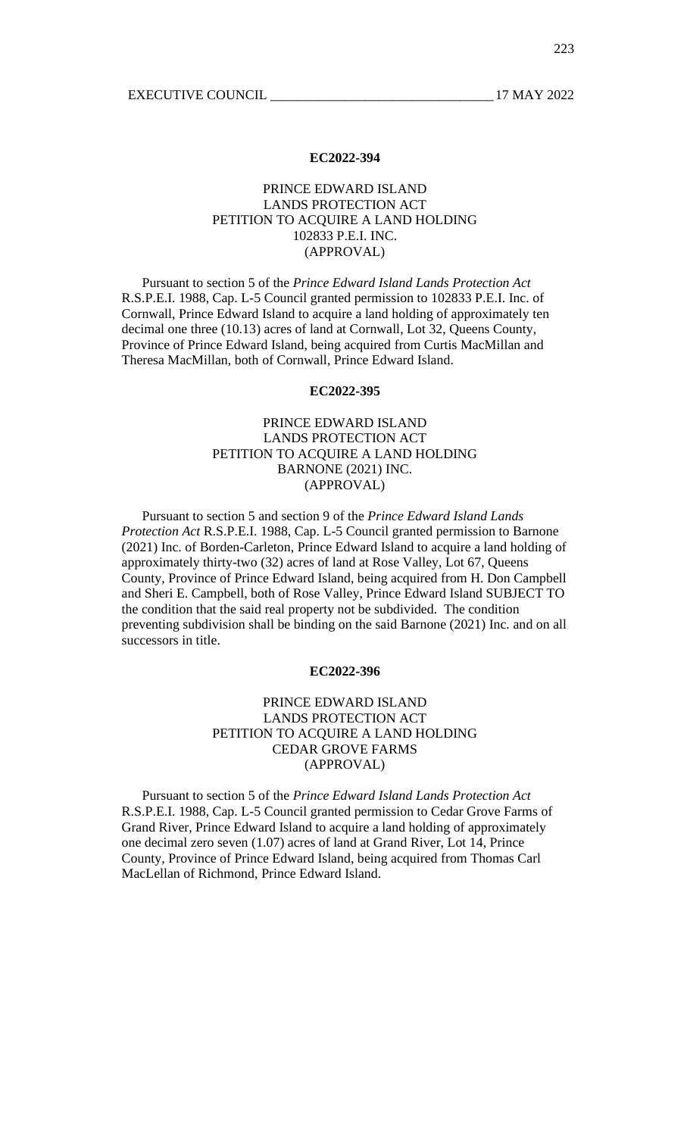# PRINCE EDWARD ISLAND LANDS PROTECTION ACT PETITION TO ACQUIRE A LAND HOLDING 102833 P.E.I. INC. (APPROVAL)

Pursuant to section 5 of the *Prince Edward Island Lands Protection Act* R.S.P.E.I. 1988, Cap. L-5 Council granted permission to 102833 P.E.I. Inc. of Cornwall, Prince Edward Island to acquire a land holding of approximately ten decimal one three (10.13) acres of land at Cornwall, Lot 32, Queens County, Province of Prince Edward Island, being acquired from Curtis MacMillan and Theresa MacMillan, both of Cornwall, Prince Edward Island.

## **EC2022-395**

# PRINCE EDWARD ISLAND LANDS PROTECTION ACT PETITION TO ACQUIRE A LAND HOLDING BARNONE (2021) INC. (APPROVAL)

Pursuant to section 5 and section 9 of the *Prince Edward Island Lands Protection Act* R.S.P.E.I. 1988, Cap. L-5 Council granted permission to Barnone (2021) Inc. of Borden-Carleton, Prince Edward Island to acquire a land holding of approximately thirty-two (32) acres of land at Rose Valley, Lot 67, Queens County, Province of Prince Edward Island, being acquired from H. Don Campbell and Sheri E. Campbell, both of Rose Valley, Prince Edward Island SUBJECT TO the condition that the said real property not be subdivided. The condition preventing subdivision shall be binding on the said Barnone (2021) Inc. and on all successors in title.

## **EC2022-396**

## PRINCE EDWARD ISLAND LANDS PROTECTION ACT PETITION TO ACQUIRE A LAND HOLDING CEDAR GROVE FARMS (APPROVAL)

Pursuant to section 5 of the *Prince Edward Island Lands Protection Act* R.S.P.E.I. 1988, Cap. L-5 Council granted permission to Cedar Grove Farms of Grand River, Prince Edward Island to acquire a land holding of approximately one decimal zero seven (1.07) acres of land at Grand River, Lot 14, Prince County, Province of Prince Edward Island, being acquired from Thomas Carl MacLellan of Richmond, Prince Edward Island.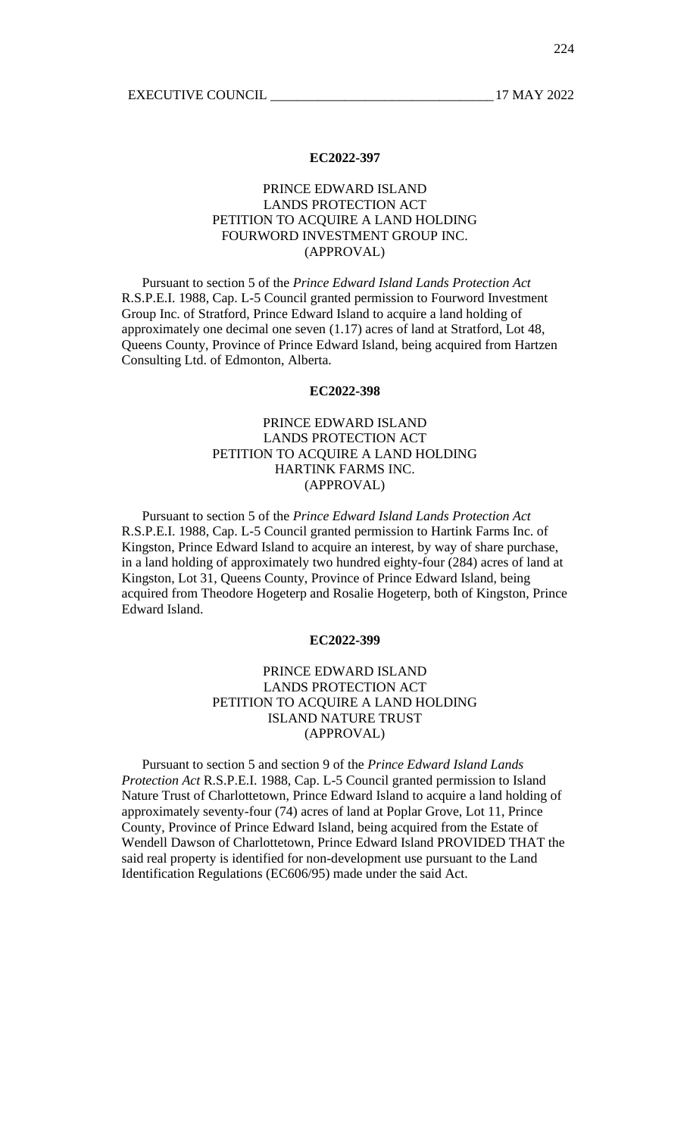# PRINCE EDWARD ISLAND LANDS PROTECTION ACT PETITION TO ACQUIRE A LAND HOLDING FOURWORD INVESTMENT GROUP INC. (APPROVAL)

Pursuant to section 5 of the *Prince Edward Island Lands Protection Act* R.S.P.E.I. 1988, Cap. L-5 Council granted permission to Fourword Investment Group Inc. of Stratford, Prince Edward Island to acquire a land holding of approximately one decimal one seven (1.17) acres of land at Stratford, Lot 48, Queens County, Province of Prince Edward Island, being acquired from Hartzen Consulting Ltd. of Edmonton, Alberta.

## **EC2022-398**

# PRINCE EDWARD ISLAND LANDS PROTECTION ACT PETITION TO ACQUIRE A LAND HOLDING HARTINK FARMS INC. (APPROVAL)

Pursuant to section 5 of the *Prince Edward Island Lands Protection Act* R.S.P.E.I. 1988, Cap. L-5 Council granted permission to Hartink Farms Inc. of Kingston, Prince Edward Island to acquire an interest, by way of share purchase, in a land holding of approximately two hundred eighty-four (284) acres of land at Kingston, Lot 31, Queens County, Province of Prince Edward Island, being acquired from Theodore Hogeterp and Rosalie Hogeterp, both of Kingston, Prince Edward Island.

#### **EC2022-399**

# PRINCE EDWARD ISLAND LANDS PROTECTION ACT PETITION TO ACQUIRE A LAND HOLDING ISLAND NATURE TRUST (APPROVAL)

Pursuant to section 5 and section 9 of the *Prince Edward Island Lands Protection Act* R.S.P.E.I. 1988, Cap. L-5 Council granted permission to Island Nature Trust of Charlottetown, Prince Edward Island to acquire a land holding of approximately seventy-four (74) acres of land at Poplar Grove, Lot 11, Prince County, Province of Prince Edward Island, being acquired from the Estate of Wendell Dawson of Charlottetown, Prince Edward Island PROVIDED THAT the said real property is identified for non-development use pursuant to the Land Identification Regulations (EC606/95) made under the said Act.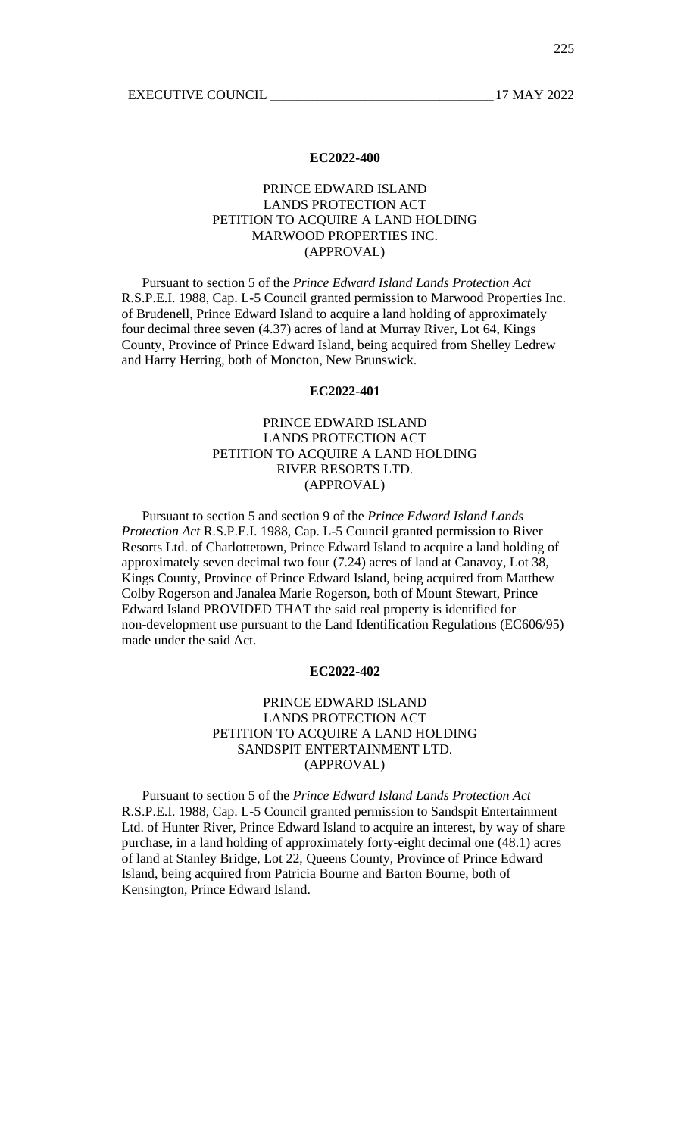# PRINCE EDWARD ISLAND LANDS PROTECTION ACT PETITION TO ACQUIRE A LAND HOLDING MARWOOD PROPERTIES INC. (APPROVAL)

Pursuant to section 5 of the *Prince Edward Island Lands Protection Act* R.S.P.E.I. 1988, Cap. L-5 Council granted permission to Marwood Properties Inc. of Brudenell, Prince Edward Island to acquire a land holding of approximately four decimal three seven (4.37) acres of land at Murray River, Lot 64, Kings County, Province of Prince Edward Island, being acquired from Shelley Ledrew and Harry Herring, both of Moncton, New Brunswick.

### **EC2022-401**

# PRINCE EDWARD ISLAND LANDS PROTECTION ACT PETITION TO ACQUIRE A LAND HOLDING RIVER RESORTS LTD. (APPROVAL)

Pursuant to section 5 and section 9 of the *Prince Edward Island Lands Protection Act* R.S.P.E.I. 1988, Cap. L-5 Council granted permission to River Resorts Ltd. of Charlottetown, Prince Edward Island to acquire a land holding of approximately seven decimal two four (7.24) acres of land at Canavoy, Lot 38, Kings County, Province of Prince Edward Island, being acquired from Matthew Colby Rogerson and Janalea Marie Rogerson, both of Mount Stewart, Prince Edward Island PROVIDED THAT the said real property is identified for non-development use pursuant to the Land Identification Regulations (EC606/95) made under the said Act.

# **EC2022-402**

## PRINCE EDWARD ISLAND LANDS PROTECTION ACT PETITION TO ACQUIRE A LAND HOLDING SANDSPIT ENTERTAINMENT LTD. (APPROVAL)

Pursuant to section 5 of the *Prince Edward Island Lands Protection Act* R.S.P.E.I. 1988, Cap. L-5 Council granted permission to Sandspit Entertainment Ltd. of Hunter River, Prince Edward Island to acquire an interest, by way of share purchase, in a land holding of approximately forty-eight decimal one (48.1) acres of land at Stanley Bridge, Lot 22, Queens County, Province of Prince Edward Island, being acquired from Patricia Bourne and Barton Bourne, both of Kensington, Prince Edward Island.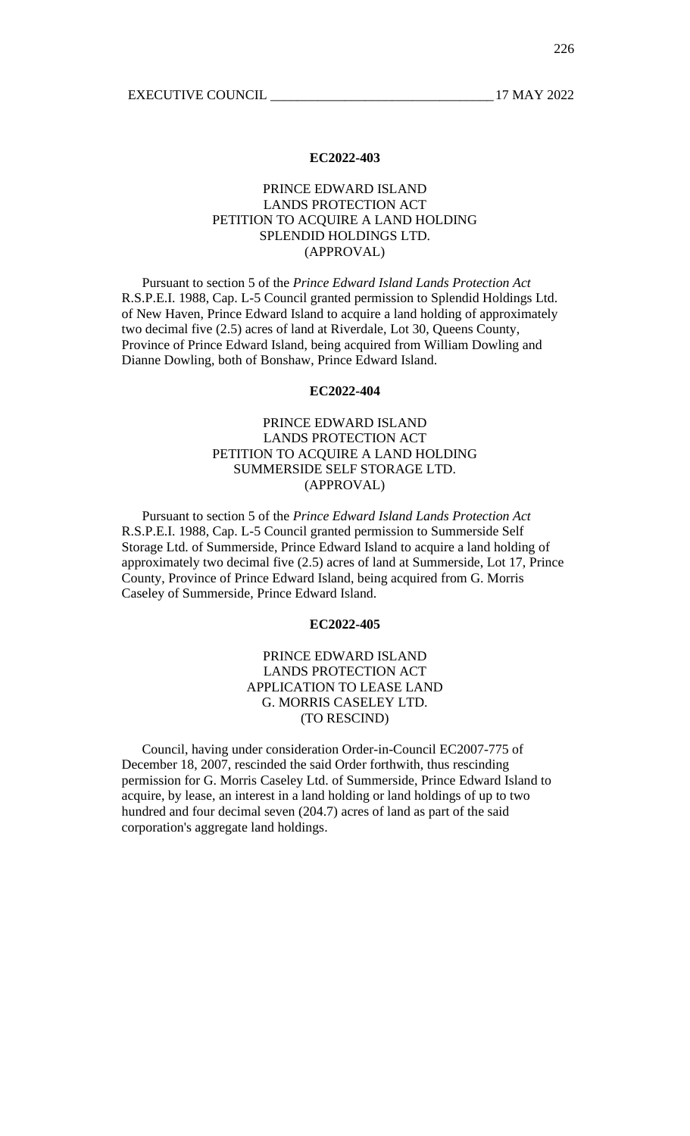# PRINCE EDWARD ISLAND LANDS PROTECTION ACT PETITION TO ACQUIRE A LAND HOLDING SPLENDID HOLDINGS LTD. (APPROVAL)

Pursuant to section 5 of the *Prince Edward Island Lands Protection Act* R.S.P.E.I. 1988, Cap. L-5 Council granted permission to Splendid Holdings Ltd. of New Haven, Prince Edward Island to acquire a land holding of approximately two decimal five (2.5) acres of land at Riverdale, Lot 30, Queens County, Province of Prince Edward Island, being acquired from William Dowling and Dianne Dowling, both of Bonshaw, Prince Edward Island.

## **EC2022-404**

# PRINCE EDWARD ISLAND LANDS PROTECTION ACT PETITION TO ACQUIRE A LAND HOLDING SUMMERSIDE SELF STORAGE LTD. (APPROVAL)

Pursuant to section 5 of the *Prince Edward Island Lands Protection Act* R.S.P.E.I. 1988, Cap. L-5 Council granted permission to Summerside Self Storage Ltd. of Summerside, Prince Edward Island to acquire a land holding of approximately two decimal five (2.5) acres of land at Summerside, Lot 17, Prince County, Province of Prince Edward Island, being acquired from G. Morris Caseley of Summerside, Prince Edward Island.

## **EC2022-405**

# PRINCE EDWARD ISLAND LANDS PROTECTION ACT APPLICATION TO LEASE LAND G. MORRIS CASELEY LTD. (TO RESCIND)

Council, having under consideration Order-in-Council EC2007-775 of December 18, 2007, rescinded the said Order forthwith, thus rescinding permission for G. Morris Caseley Ltd. of Summerside, Prince Edward Island to acquire, by lease, an interest in a land holding or land holdings of up to two hundred and four decimal seven (204.7) acres of land as part of the said corporation's aggregate land holdings.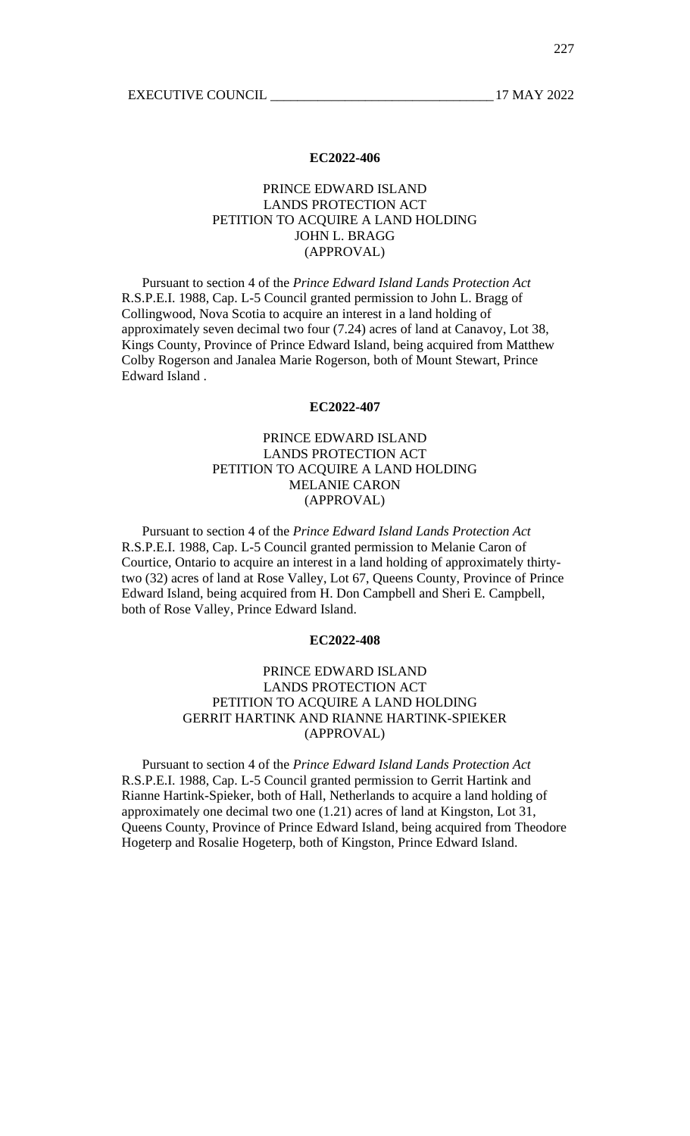# PRINCE EDWARD ISLAND LANDS PROTECTION ACT PETITION TO ACQUIRE A LAND HOLDING JOHN L. BRAGG (APPROVAL)

Pursuant to section 4 of the *Prince Edward Island Lands Protection Act* R.S.P.E.I. 1988, Cap. L-5 Council granted permission to John L. Bragg of Collingwood, Nova Scotia to acquire an interest in a land holding of approximately seven decimal two four (7.24) acres of land at Canavoy, Lot 38, Kings County, Province of Prince Edward Island, being acquired from Matthew Colby Rogerson and Janalea Marie Rogerson, both of Mount Stewart, Prince Edward Island .

#### **EC2022-407**

# PRINCE EDWARD ISLAND LANDS PROTECTION ACT PETITION TO ACQUIRE A LAND HOLDING MELANIE CARON (APPROVAL)

Pursuant to section 4 of the *Prince Edward Island Lands Protection Act* R.S.P.E.I. 1988, Cap. L-5 Council granted permission to Melanie Caron of Courtice, Ontario to acquire an interest in a land holding of approximately thirtytwo (32) acres of land at Rose Valley, Lot 67, Queens County, Province of Prince Edward Island, being acquired from H. Don Campbell and Sheri E. Campbell, both of Rose Valley, Prince Edward Island.

### **EC2022-408**

# PRINCE EDWARD ISLAND LANDS PROTECTION ACT PETITION TO ACQUIRE A LAND HOLDING GERRIT HARTINK AND RIANNE HARTINK-SPIEKER (APPROVAL)

Pursuant to section 4 of the *Prince Edward Island Lands Protection Act* R.S.P.E.I. 1988, Cap. L-5 Council granted permission to Gerrit Hartink and Rianne Hartink-Spieker, both of Hall, Netherlands to acquire a land holding of approximately one decimal two one (1.21) acres of land at Kingston, Lot 31, Queens County, Province of Prince Edward Island, being acquired from Theodore Hogeterp and Rosalie Hogeterp, both of Kingston, Prince Edward Island.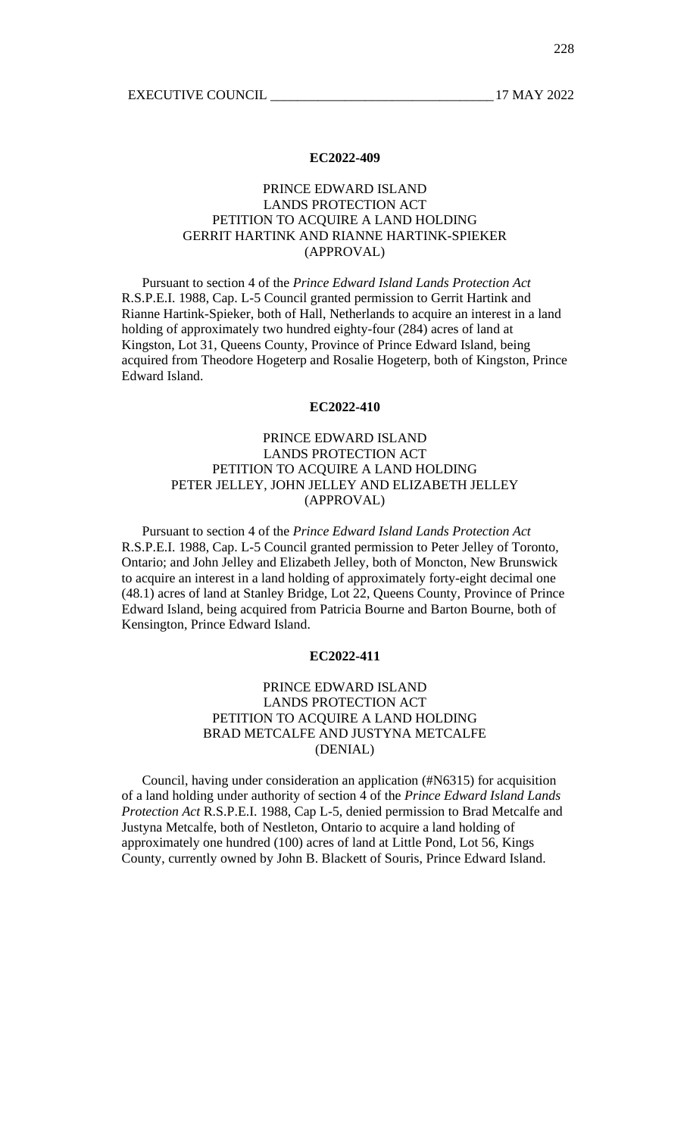# PRINCE EDWARD ISLAND LANDS PROTECTION ACT PETITION TO ACQUIRE A LAND HOLDING GERRIT HARTINK AND RIANNE HARTINK-SPIEKER (APPROVAL)

Pursuant to section 4 of the *Prince Edward Island Lands Protection Act* R.S.P.E.I. 1988, Cap. L-5 Council granted permission to Gerrit Hartink and Rianne Hartink-Spieker, both of Hall, Netherlands to acquire an interest in a land holding of approximately two hundred eighty-four (284) acres of land at Kingston, Lot 31, Queens County, Province of Prince Edward Island, being acquired from Theodore Hogeterp and Rosalie Hogeterp, both of Kingston, Prince Edward Island.

## **EC2022-410**

# PRINCE EDWARD ISLAND LANDS PROTECTION ACT PETITION TO ACQUIRE A LAND HOLDING PETER JELLEY, JOHN JELLEY AND ELIZABETH JELLEY (APPROVAL)

Pursuant to section 4 of the *Prince Edward Island Lands Protection Act* R.S.P.E.I. 1988, Cap. L-5 Council granted permission to Peter Jelley of Toronto, Ontario; and John Jelley and Elizabeth Jelley, both of Moncton, New Brunswick to acquire an interest in a land holding of approximately forty-eight decimal one (48.1) acres of land at Stanley Bridge, Lot 22, Queens County, Province of Prince Edward Island, being acquired from Patricia Bourne and Barton Bourne, both of Kensington, Prince Edward Island.

## **EC2022-411**

# PRINCE EDWARD ISLAND LANDS PROTECTION ACT PETITION TO ACQUIRE A LAND HOLDING BRAD METCALFE AND JUSTYNA METCALFE (DENIAL)

Council, having under consideration an application (#N6315) for acquisition of a land holding under authority of section 4 of the *Prince Edward Island Lands Protection Act* R.S.P.E.I. 1988, Cap L-5, denied permission to Brad Metcalfe and Justyna Metcalfe, both of Nestleton, Ontario to acquire a land holding of approximately one hundred (100) acres of land at Little Pond, Lot 56, Kings County, currently owned by John B. Blackett of Souris, Prince Edward Island.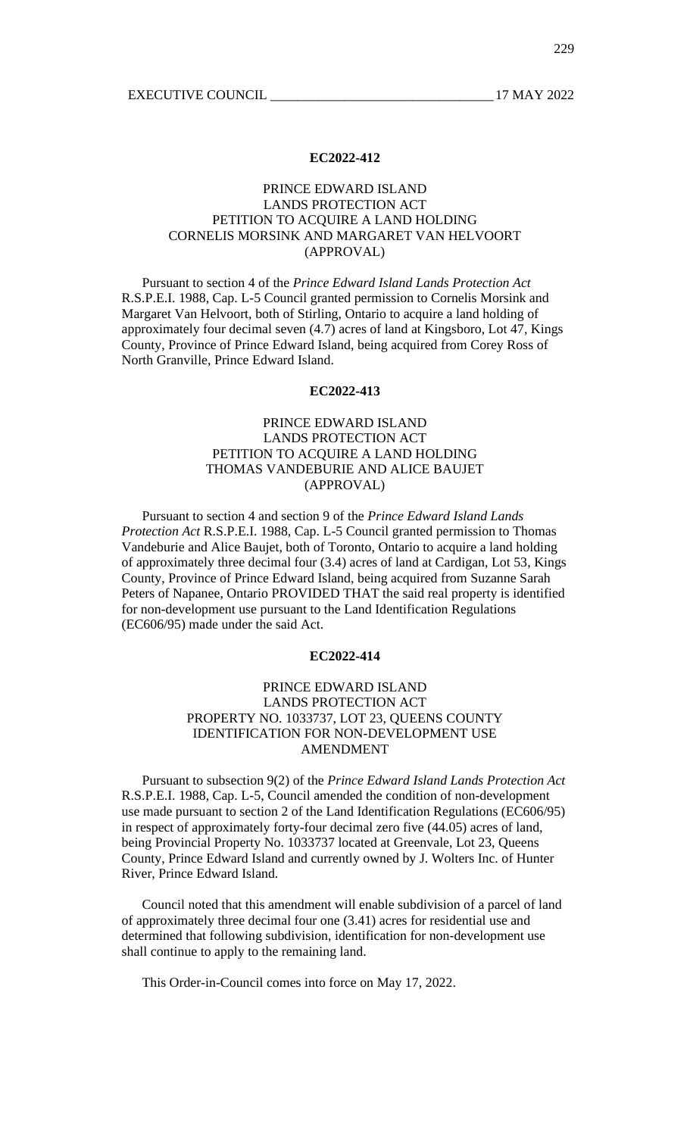# PRINCE EDWARD ISLAND LANDS PROTECTION ACT PETITION TO ACQUIRE A LAND HOLDING CORNELIS MORSINK AND MARGARET VAN HELVOORT (APPROVAL)

Pursuant to section 4 of the *Prince Edward Island Lands Protection Act* R.S.P.E.I. 1988, Cap. L-5 Council granted permission to Cornelis Morsink and Margaret Van Helvoort, both of Stirling, Ontario to acquire a land holding of approximately four decimal seven (4.7) acres of land at Kingsboro, Lot 47, Kings County, Province of Prince Edward Island, being acquired from Corey Ross of North Granville, Prince Edward Island.

## **EC2022-413**

# PRINCE EDWARD ISLAND LANDS PROTECTION ACT PETITION TO ACQUIRE A LAND HOLDING THOMAS VANDEBURIE AND ALICE BAUJET (APPROVAL)

Pursuant to section 4 and section 9 of the *Prince Edward Island Lands Protection Act* R.S.P.E.I. 1988, Cap. L-5 Council granted permission to Thomas Vandeburie and Alice Baujet, both of Toronto, Ontario to acquire a land holding of approximately three decimal four (3.4) acres of land at Cardigan, Lot 53, Kings County, Province of Prince Edward Island, being acquired from Suzanne Sarah Peters of Napanee, Ontario PROVIDED THAT the said real property is identified for non-development use pursuant to the Land Identification Regulations (EC606/95) made under the said Act.

## **EC2022-414**

# PRINCE EDWARD ISLAND LANDS PROTECTION ACT PROPERTY NO. 1033737, LOT 23, QUEENS COUNTY IDENTIFICATION FOR NON-DEVELOPMENT USE AMENDMENT

Pursuant to subsection 9(2) of the *Prince Edward Island Lands Protection Act* R.S.P.E.I. 1988, Cap. L-5, Council amended the condition of non-development use made pursuant to section 2 of the Land Identification Regulations (EC606/95) in respect of approximately forty-four decimal zero five (44.05) acres of land, being Provincial Property No. 1033737 located at Greenvale, Lot 23, Queens County, Prince Edward Island and currently owned by J. Wolters Inc. of Hunter River, Prince Edward Island.

Council noted that this amendment will enable subdivision of a parcel of land of approximately three decimal four one (3.41) acres for residential use and determined that following subdivision, identification for non-development use shall continue to apply to the remaining land.

This Order-in-Council comes into force on May 17, 2022.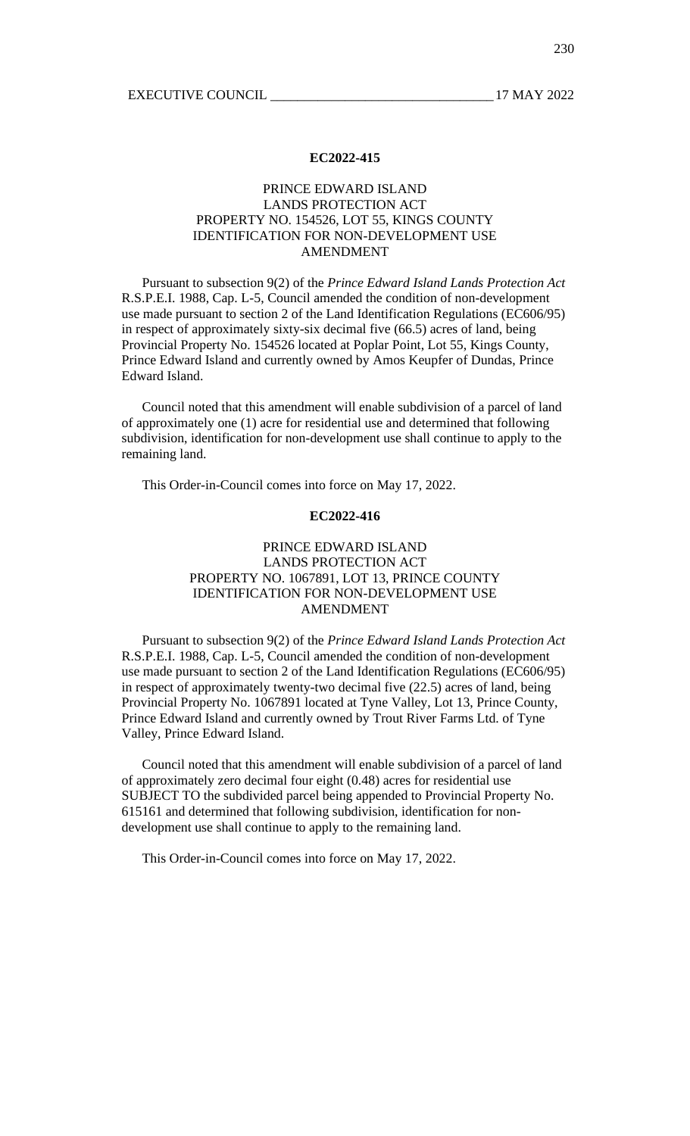# PRINCE EDWARD ISLAND LANDS PROTECTION ACT PROPERTY NO. 154526, LOT 55, KINGS COUNTY IDENTIFICATION FOR NON-DEVELOPMENT USE AMENDMENT

Pursuant to subsection 9(2) of the *Prince Edward Island Lands Protection Act* R.S.P.E.I. 1988, Cap. L-5, Council amended the condition of non-development use made pursuant to section 2 of the Land Identification Regulations (EC606/95) in respect of approximately sixty-six decimal five (66.5) acres of land, being Provincial Property No. 154526 located at Poplar Point, Lot 55, Kings County, Prince Edward Island and currently owned by Amos Keupfer of Dundas, Prince Edward Island.

Council noted that this amendment will enable subdivision of a parcel of land of approximately one (1) acre for residential use and determined that following subdivision, identification for non-development use shall continue to apply to the remaining land.

This Order-in-Council comes into force on May 17, 2022.

## **EC2022-416**

# PRINCE EDWARD ISLAND LANDS PROTECTION ACT PROPERTY NO. 1067891, LOT 13, PRINCE COUNTY IDENTIFICATION FOR NON-DEVELOPMENT USE AMENDMENT

Pursuant to subsection 9(2) of the *Prince Edward Island Lands Protection Act* R.S.P.E.I. 1988, Cap. L-5, Council amended the condition of non-development use made pursuant to section 2 of the Land Identification Regulations (EC606/95) in respect of approximately twenty-two decimal five (22.5) acres of land, being Provincial Property No. 1067891 located at Tyne Valley, Lot 13, Prince County, Prince Edward Island and currently owned by Trout River Farms Ltd. of Tyne Valley, Prince Edward Island.

Council noted that this amendment will enable subdivision of a parcel of land of approximately zero decimal four eight (0.48) acres for residential use SUBJECT TO the subdivided parcel being appended to Provincial Property No. 615161 and determined that following subdivision, identification for nondevelopment use shall continue to apply to the remaining land.

This Order-in-Council comes into force on May 17, 2022.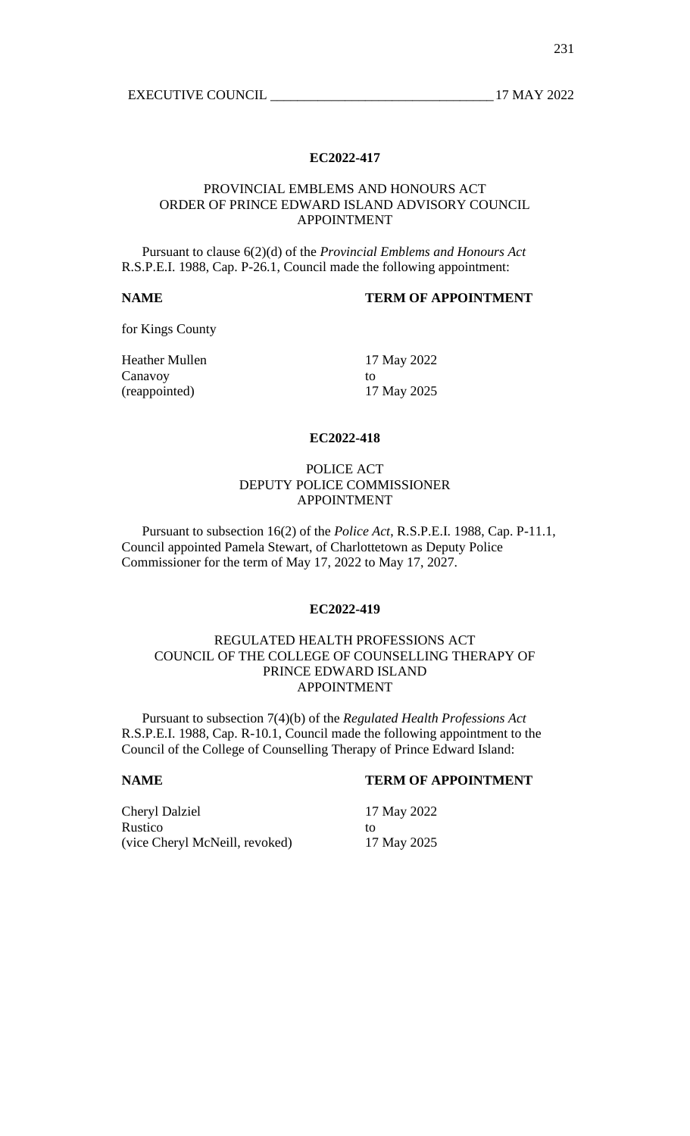## PROVINCIAL EMBLEMS AND HONOURS ACT ORDER OF PRINCE EDWARD ISLAND ADVISORY COUNCIL APPOINTMENT

Pursuant to clause 6(2)(d) of the *Provincial Emblems and Honours Act* R.S.P.E.I. 1988, Cap. P-26.1, Council made the following appointment:

# **NAME TERM OF APPOINTMENT**

for Kings County

Heather Mullen 17 May 2022 Canavoy to to the contract of the contract of the contract of the contract of the contract of the contract of the contract of the contract of the contract of the contract of the contract of the contract of the contract of (reappointed) 17 May 2025

## **EC2022-418**

## POLICE ACT DEPUTY POLICE COMMISSIONER APPOINTMENT

Pursuant to subsection 16(2) of the *Police Act*, R.S.P.E.I. 1988, Cap. P-11.1, Council appointed Pamela Stewart, of Charlottetown as Deputy Police Commissioner for the term of May 17, 2022 to May 17, 2027.

## **EC2022-419**

# REGULATED HEALTH PROFESSIONS ACT COUNCIL OF THE COLLEGE OF COUNSELLING THERAPY OF PRINCE EDWARD ISLAND APPOINTMENT

Pursuant to subsection 7(4)(b) of the *Regulated Health Professions Act* R.S.P.E.I. 1988, Cap. R-10.1, Council made the following appointment to the Council of the College of Counselling Therapy of Prince Edward Island:

## **NAME TERM OF APPOINTMENT**

Cheryl Dalziel 17 May 2022 Rustico to to to the contract of the contract of the contract of the contract of the contract of the contract of the contract of the contract of the contract of the contract of the contract of the contract of the contract (vice Cheryl McNeill, revoked) 17 May 2025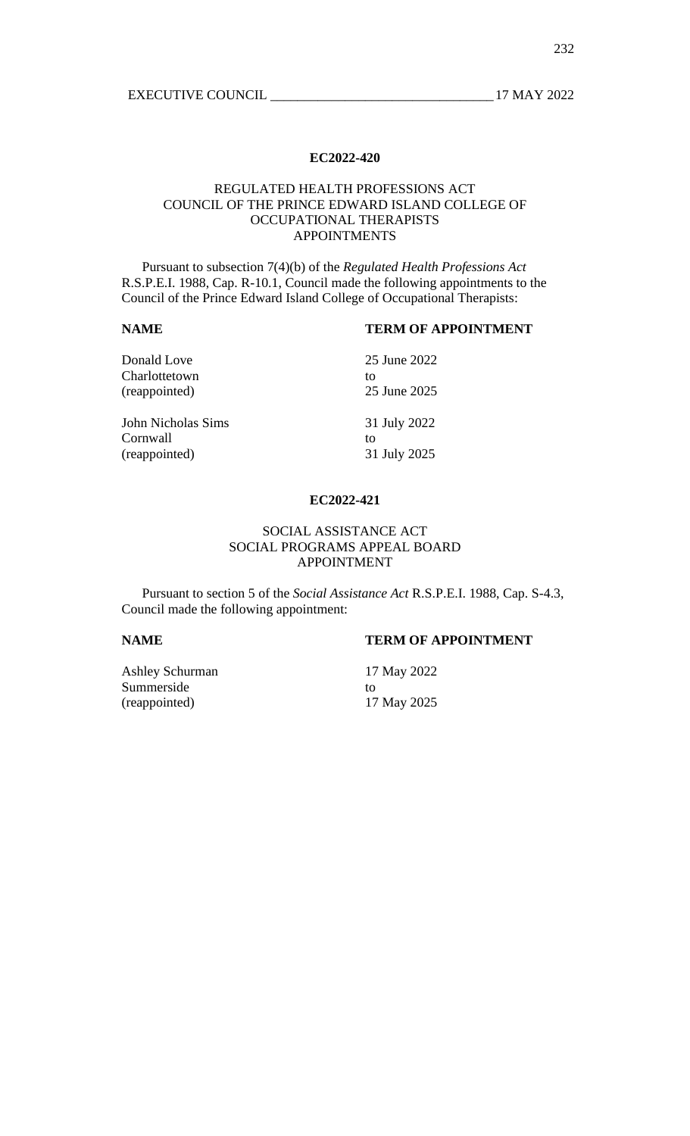# REGULATED HEALTH PROFESSIONS ACT COUNCIL OF THE PRINCE EDWARD ISLAND COLLEGE OF OCCUPATIONAL THERAPISTS APPOINTMENTS

Pursuant to subsection 7(4)(b) of the *Regulated Health Professions Act* R.S.P.E.I. 1988, Cap. R-10.1, Council made the following appointments to the Council of the Prince Edward Island College of Occupational Therapists:

# **NAME TERM OF APPOINTMENT**

| Donald Love        | 25 June 2022 |
|--------------------|--------------|
| Charlottetown      | to           |
| (reappointed)      | 25 June 2025 |
| John Nicholas Sims | 31 July 2022 |
| Cornwall           | to           |
| (reappointed)      | 31 July 2025 |

### **EC2022-421**

# SOCIAL ASSISTANCE ACT SOCIAL PROGRAMS APPEAL BOARD APPOINTMENT

Pursuant to section 5 of the *Social Assistance Act* R.S.P.E.I. 1988, Cap. S-4.3, Council made the following appointment:

# **NAME TERM OF APPOINTMENT**

Ashley Schurman 17 May 2022 Summerside to to to the total contract of the total contract of the total contract of the total contract of the total contract of the total contract of the total contract of the total contract of the total contract of the (reappointed) 17 May 2025